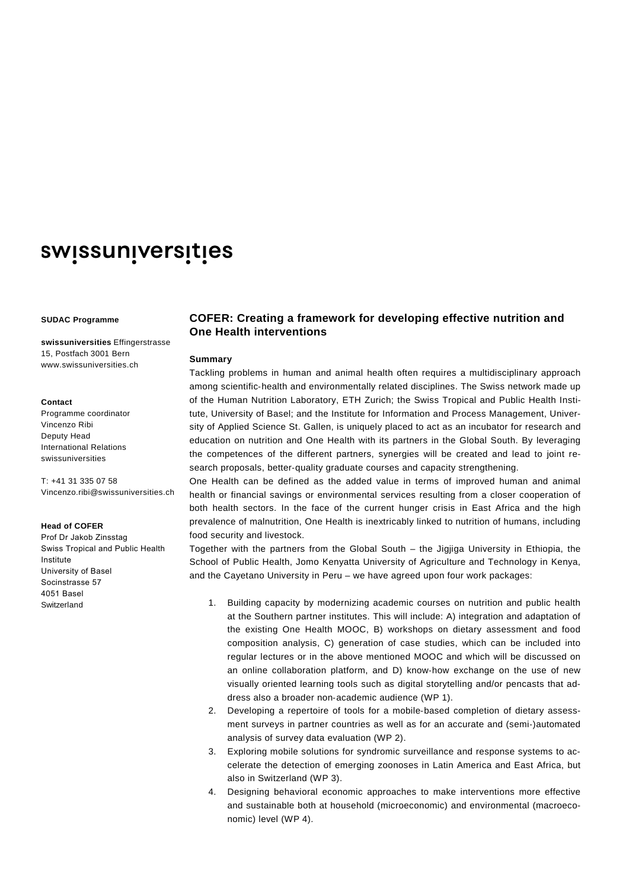# swissuniversities

#### **SUDAC Programme**

**swissuniversities** Effingerstrasse 15, Postfach 3001 Bern www.swissuniversities.ch

## **Contact**

Programme coordinator Vincenzo Ribi Deputy Head International Relations swissuniversities

T: +41 31 335 07 58 Vincenzo.ribi@swissuniversities.ch

## **Head of COFER**

Prof Dr Jakob Zinsstag Swiss Tropical and Public Health Institute University of Basel Socinstrasse 57 4051 Basel **Switzerland** 

# **COFER: Creating a framework for developing effective nutrition and One Health interventions**

## **Summary**

Tackling problems in human and animal health often requires a multidisciplinary approach among scientific‐health and environmentally related disciplines. The Swiss network made up of the Human Nutrition Laboratory, ETH Zurich; the Swiss Tropical and Public Health Institute, University of Basel; and the Institute for Information and Process Management, University of Applied Science St. Gallen, is uniquely placed to act as an incubator for research and education on nutrition and One Health with its partners in the Global South. By leveraging the competences of the different partners, synergies will be created and lead to joint research proposals, better-quality graduate courses and capacity strengthening.

One Health can be defined as the added value in terms of improved human and animal health or financial savings or environmental services resulting from a closer cooperation of both health sectors. In the face of the current hunger crisis in East Africa and the high prevalence of malnutrition, One Health is inextricably linked to nutrition of humans, including food security and livestock.

Together with the partners from the Global South – the Jigjiga University in Ethiopia, the School of Public Health, Jomo Kenyatta University of Agriculture and Technology in Kenya, and the Cayetano University in Peru – we have agreed upon four work packages:

- 1. Building capacity by modernizing academic courses on nutrition and public health at the Southern partner institutes. This will include: A) integration and adaptation of the existing One Health MOOC, B) workshops on dietary assessment and food composition analysis, C) generation of case studies, which can be included into regular lectures or in the above mentioned MOOC and which will be discussed on an online collaboration platform, and D) know‐how exchange on the use of new visually oriented learning tools such as digital storytelling and/or pencasts that address also a broader non‐academic audience (WP 1).
- 2. Developing a repertoire of tools for a mobile-based completion of dietary assessment surveys in partner countries as well as for an accurate and (semi‐)automated analysis of survey data evaluation (WP 2).
- 3. Exploring mobile solutions for syndromic surveillance and response systems to accelerate the detection of emerging zoonoses in Latin America and East Africa, but also in Switzerland (WP 3).
- 4. Designing behavioral economic approaches to make interventions more effective and sustainable both at household (microeconomic) and environmental (macroeconomic) level (WP 4).